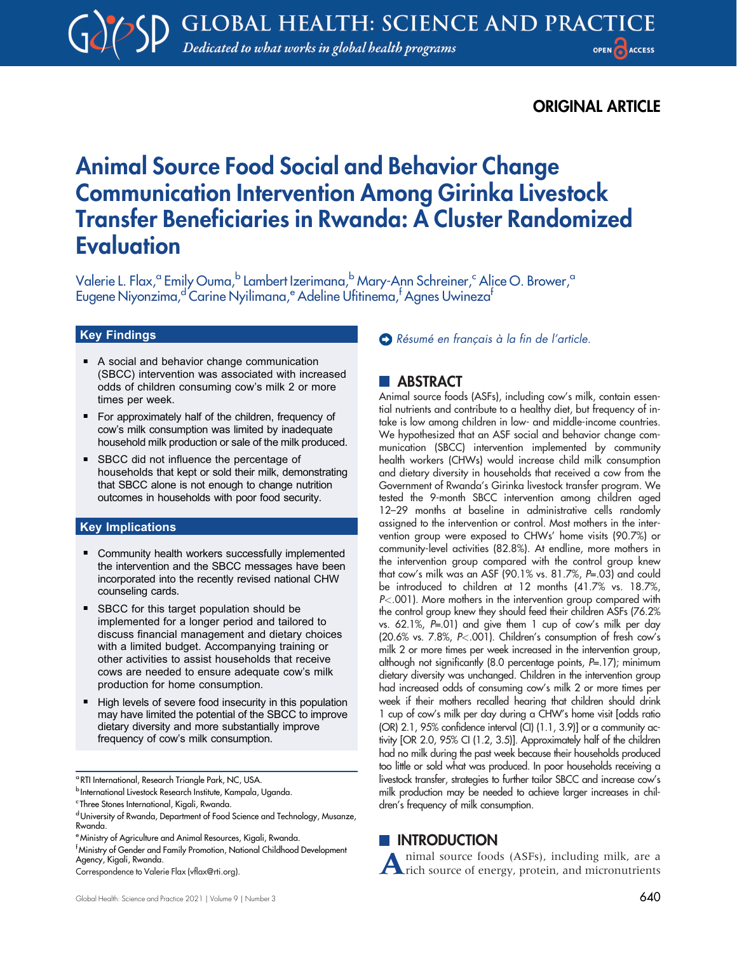# ORIGINAL ARTICLE

# Animal Source Food Social and Behavior Change Communication Intervention Among Girinka Livestock Transfer Beneficiaries in Rwanda: A Cluster Randomized Evaluation

Valerie L. Flax,<sup>a</sup> Emily Ouma,<sup>b</sup> Lambert Izerimana,<sup>b</sup> Mary-Ann Schreiner,<sup>c</sup> Alice O. Brower,<sup>a</sup> Eugene Niyonzima,<sup>d'</sup>Carine Nyilimana,<sup>e</sup> Adeline Ufitinema,<sup>f</sup> Agnes Uwineza<sup>f</sup>

### Key Findings

- A social and behavior change communication (SBCC) intervention was associated with increased odds of children consuming cow's milk 2 or more times per week.
- For approximately half of the children, frequency of cow's milk consumption was limited by inadequate household milk production or sale of the milk produced.
- **BICC** did not influence the percentage of households that kept or sold their milk, demonstrating that SBCC alone is not enough to change nutrition outcomes in households with poor food security.

#### Key Implications

- Community health workers successfully implemented the intervention and the SBCC messages have been incorporated into the recently revised national CHW counseling cards.
- **BECC** for this target population should be implemented for a longer period and tailored to discuss financial management and dietary choices with a limited budget. Accompanying training or other activities to assist households that receive cows are needed to ensure adequate cow's milk production for home consumption.
- High levels of severe food insecurity in this population may have limited the potential of the SBCC to improve dietary diversity and more substantially improve frequency of cow's milk consumption.

<sup>a</sup> RTI International, Research Triangle Park, NC, USA.

#### [Résumé en français à la fin de l](#page-12-0)'article.

### **NEARSTRACT**

Animal source foods (ASFs), including cow's milk, contain essential nutrients and contribute to a healthy diet, but frequency of intake is low among children in low- and middle-income countries. We hypothesized that an ASF social and behavior change communication (SBCC) intervention implemented by community health workers (CHWs) would increase child milk consumption and dietary diversity in households that received a cow from the Government of Rwanda's Girinka livestock transfer program. We tested the 9-month SBCC intervention among children aged 12–29 months at baseline in administrative cells randomly assigned to the intervention or control. Most mothers in the intervention group were exposed to CHWs' home visits (90.7%) or community-level activities (82.8%). At endline, more mothers in the intervention group compared with the control group knew that cow's milk was an ASF (90.1% vs. 81.7%, P=.03) and could be introduced to children at 12 months (41.7% vs. 18.7%, P<.001). More mothers in the intervention group compared with the control group knew they should feed their children ASFs (76.2% vs. 62.1%, P=.01) and give them 1 cup of cow's milk per day (20.6% vs. 7.8%, P<.001). Children's consumption of fresh cow's milk 2 or more times per week increased in the intervention group, although not significantly (8.0 percentage points, P=.17); minimum dietary diversity was unchanged. Children in the intervention group had increased odds of consuming cow's milk 2 or more times per week if their mothers recalled hearing that children should drink 1 cup of cow's milk per day during a CHW's home visit [odds ratio (OR) 2.1, 95% confidence interval (CI) (1.1, 3.9)] or a community activity [OR 2.0, 95% CI (1.2, 3.5)]. Approximately half of the children had no milk during the past week because their households produced too little or sold what was produced. In poor households receiving a livestock transfer, strategies to further tailor SBCC and increase cow's milk production may be needed to achieve larger increases in children's frequency of milk consumption.

# **INTRODUCTION**

Animal source foods (ASFs), including milk, are a rich source of energy, protein, and micronutrients

<sup>b</sup> International Livestock Research Institute, Kampala, Uganda.

<sup>&</sup>lt;sup>c</sup>Three Stones International, Kigali, Rwanda.

d University of Rwanda, Department of Food Science and Technology, Musanze, Rwanda.

<sup>&</sup>lt;sup>e</sup> Ministry of Agriculture and Animal Resources, Kigali, Rwanda.

 $^{\mathsf{f}}$ Ministry of Gender and Family Promotion, National Childhood Development Agency, Kigali, Rwanda.

Correspondence to Valerie Flax [\(vflax@rti.org\)](mailto:vflax@rti.org).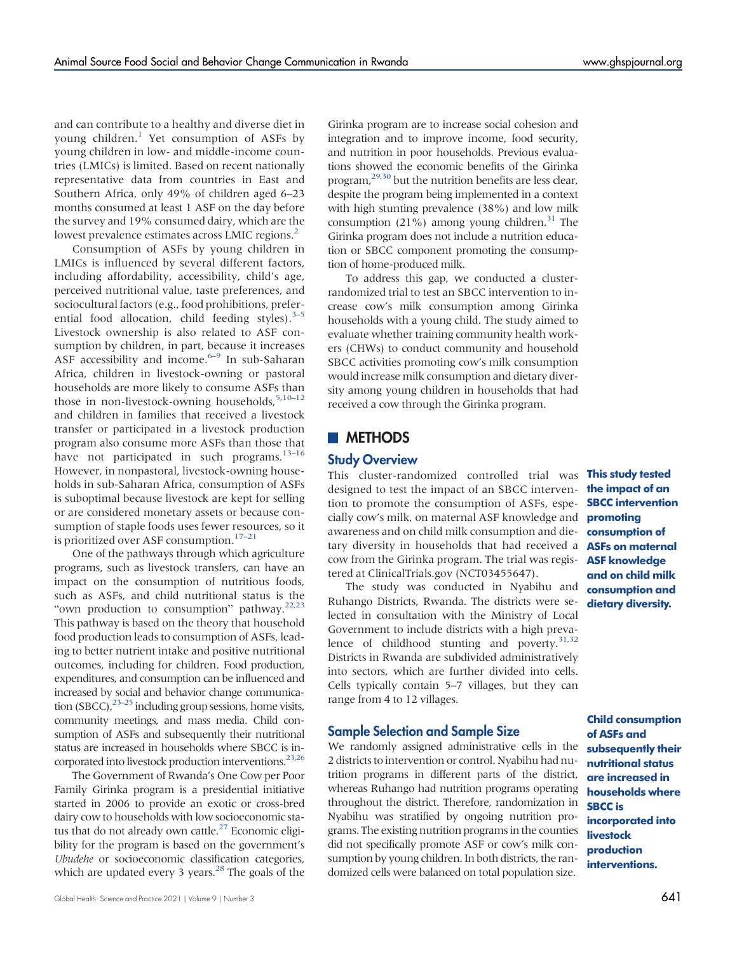and can contribute to a healthy and diverse diet in young children.<sup>[1](#page-11-0)</sup> Yet consumption of ASFs by young children in low- and middle-income countries (LMICs) is limited. Based on recent nationally representative data from countries in East and Southern Africa, only 49% of children aged 6–23 months consumed at least 1 ASF on the day before the survey and 19% consumed dairy, which are the lowest prevalence estimates across LMIC regions.<sup>2</sup>

Consumption of ASFs by young children in LMICs is influenced by several different factors, including affordability, accessibility, child's age, perceived nutritional value, taste preferences, and sociocultural factors (e.g., food prohibitions, preferential food allocation, child feeding styles). $3-5$  $3-5$ Livestock ownership is also related to ASF consumption by children, in part, because it increases ASF accessibility and income. $6-9$  $6-9$  In sub-Saharan Africa, children in livestock-owning or pastoral households are more likely to consume ASFs than those in non-livestock-owning households,  $5,10-12$  $5,10-12$  $5,10-12$  $5,10-12$ and children in families that received a livestock transfer or participated in a livestock production program also consume more ASFs than those that have not participated in such programs.<sup>[13](#page-11-8)-[16](#page-11-9)</sup> However, in nonpastoral, livestock-owning households in sub-Saharan Africa, consumption of ASFs is suboptimal because livestock are kept for selling or are considered monetary assets or because consumption of staple foods uses fewer resources, so it is prioritized over ASF consumption.<sup>[17](#page-11-10)-[21](#page-12-1)</sup>

One of the pathways through which agriculture programs, such as livestock transfers, can have an impact on the consumption of nutritious foods, such as ASFs, and child nutritional status is the "own production to consumption" pathway.<sup>[22](#page-12-2),[23](#page-12-3)</sup> This pathway is based on the theory that household food production leads to consumption of ASFs, leading to better nutrient intake and positive nutritional outcomes, including for children. Food production, expenditures, and consumption can be influenced and increased by social and behavior change communication (SBCC), $2^{3-25}$  $2^{3-25}$  $2^{3-25}$  including group sessions, home visits, community meetings, and mass media. Child consumption of ASFs and subsequently their nutritional status are increased in households where SBCC is in-corporated into livestock production interventions.<sup>[23](#page-12-3)[,26](#page-12-5)</sup>

The Government of Rwanda's One Cow per Poor Family Girinka program is a presidential initiative started in 2006 to provide an exotic or cross-bred dairy cow to households with low socioeconomic status that do not already own cattle. $27$  Economic eligibility for the program is based on the government's Ubudehe or socioeconomic classification categories, which are updated every 3 years. $^{28}$  The goals of the

Girinka program are to increase social cohesion and integration and to improve income, food security, and nutrition in poor households. Previous evaluations showed the economic benefits of the Girinka program,[29](#page-12-8)[,30](#page-12-9) but the nutrition benefits are less clear, despite the program being implemented in a context with high stunting prevalence (38%) and low milk consumption  $(21\%)$  among young children.<sup>31</sup> The Girinka program does not include a nutrition education or SBCC component promoting the consumption of home-produced milk.

To address this gap, we conducted a clusterrandomized trial to test an SBCC intervention to increase cow's milk consumption among Girinka households with a young child. The study aimed to evaluate whether training community health workers (CHWs) to conduct community and household SBCC activities promoting cow's milk consumption would increase milk consumption and dietary diversity among young children in households that had received a cow through the Girinka program.

### **METHODS**

#### Study Overview

This cluster-randomized controlled trial was **This study tested** designed to test the impact of an SBCC intervention to promote the consumption of ASFs, especially cow's milk, on maternal ASF knowledge and **promoting** awareness and on child milk consumption and dietary diversity in households that had received a cow from the Girinka program. The trial was registered at ClinicalTrials.gov (NCT03455647).

The study was conducted in Nyabihu and Ruhango Districts, Rwanda. The districts were selected in consultation with the Ministry of Local Government to include districts with a high preva-lence of childhood stunting and poverty.<sup>31[,32](#page-12-11)</sup> Districts in Rwanda are subdivided administratively into sectors, which are further divided into cells. Cells typically contain 5–7 villages, but they can range from 4 to 12 villages.

### Sample Selection and Sample Size

We randomly assigned administrative cells in the 2 districts to intervention or control. Nyabihu had nutrition programs in different parts of the district, whereas Ruhango had nutrition programs operating throughout the district. Therefore, randomization in Nyabihu was stratified by ongoing nutrition programs. The existing nutrition programs in the counties did not specifically promote ASF or cow's milk consumption by young children. In both districts, the randomized cells were balanced on total population size.

the impact of an SBCC intervention consumption of ASFs on maternal ASF knowledge and on child milk consumption and dietary diversity.

Child consumption of ASFs and subsequently their nutritional status are increased in households where SBCC is incorporated into livestock production interventions.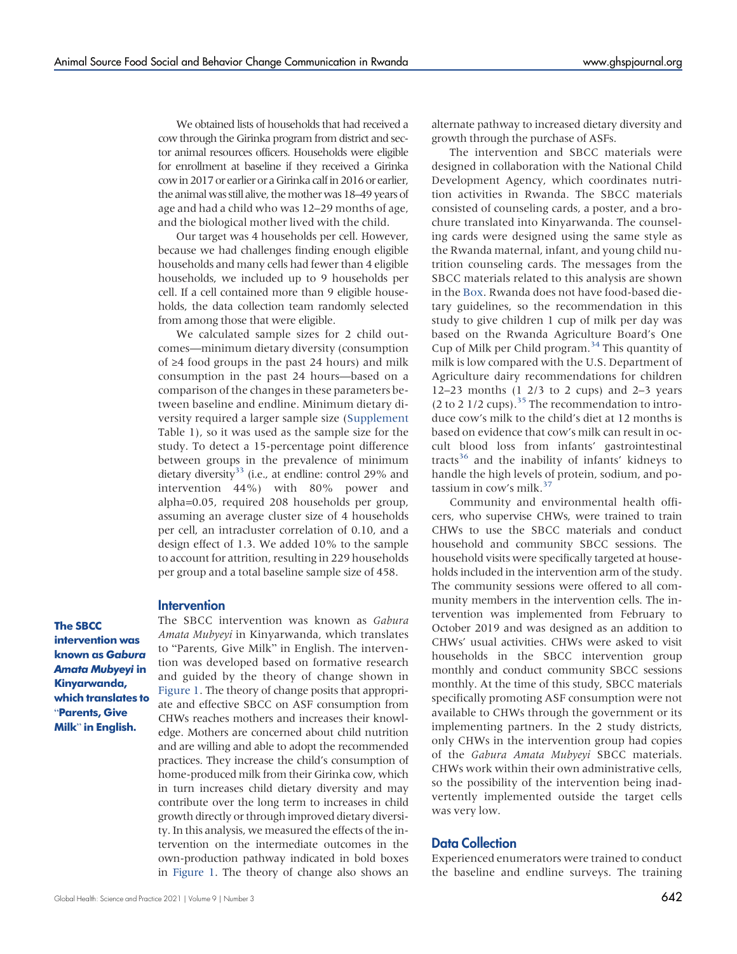We obtained lists of households that had received a cow through the Girinka program from district and sector animal resources officers. Households were eligible for enrollment at baseline if they received a Girinka cowin 2017 or earlier or a Girinka calfin 2016 or earlier, the animal was still alive, the mother was 18–49 years of age and had a child who was 12–29 months of age, and the biological mother lived with the child.

Our target was 4 households per cell. However, because we had challenges finding enough eligible households and many cells had fewer than 4 eligible households, we included up to 9 households per cell. If a cell contained more than 9 eligible households, the data collection team randomly selected from among those that were eligible.

We calculated sample sizes for 2 child outcomes—minimum dietary diversity (consumption of ≥4 food groups in the past 24 hours) and milk consumption in the past 24 hours—based on a comparison of the changes in these parameters between baseline and endline. Minimum dietary diversity required a larger sample size ([Supplement](http://ghspjournal.org/lookup/suppl/doi:10.9745/GHSP-D-22-00082/-/DCSupplemental) Table 1), so it was used as the sample size for the study. To detect a 15-percentage point difference between groups in the prevalence of minimum dietary diversity<sup>33</sup> (i.e., at endline: control 29% and intervention 44%) with 80% power and alpha=0.05, required 208 households per group, assuming an average cluster size of 4 households per cell, an intracluster correlation of 0.10, and a design effect of 1.3. We added 10% to the sample to account for attrition, resulting in 229 households per group and a total baseline sample size of 458.

#### **Intervention**

The SBCC intervention was known as Gabura Amata Mubyeyi in Kinyarwanda, which translates to "Parents, Give Milk" in English.

The SBCC intervention was known as Gabura Amata Mubyeyi in Kinyarwanda, which translates to "Parents, Give Milk" in English. The intervention was developed based on formative research and guided by the theory of change shown in [Figure 1.](#page-4-0) The theory of change posits that appropriate and effective SBCC on ASF consumption from CHWs reaches mothers and increases their knowledge. Mothers are concerned about child nutrition and are willing and able to adopt the recommended practices. They increase the child's consumption of home-produced milk from their Girinka cow, which in turn increases child dietary diversity and may contribute over the long term to increases in child growth directly or through improved dietary diversity. In this analysis, we measured the effects of the intervention on the intermediate outcomes in the own-production pathway indicated in bold boxes in [Figure 1.](#page-4-0) The theory of change also shows an

alternate pathway to increased dietary diversity and growth through the purchase of ASFs.

The intervention and SBCC materials were designed in collaboration with the National Child Development Agency, which coordinates nutrition activities in Rwanda. The SBCC materials consisted of counseling cards, a poster, and a brochure translated into Kinyarwanda. The counseling cards were designed using the same style as the Rwanda maternal, infant, and young child nutrition counseling cards. The messages from the SBCC materials related to this analysis are shown in the [Box.](#page-4-1) Rwanda does not have food-based dietary guidelines, so the recommendation in this study to give children 1 cup of milk per day was based on the Rwanda Agriculture Board's One Cup of Milk per Child program.<sup>[34](#page-12-13)</sup> This quantity of milk is low compared with the U.S. Department of Agriculture dairy recommendations for children 12–23 months  $(1 \t2/3 \t\text{to} 2 \t\text{cups})$  and 2–3 years (2 to 2 1/2 cups).<sup>[35](#page-12-14)</sup> The recommendation to introduce cow's milk to the child's diet at 12 months is based on evidence that cow's milk can result in occult blood loss from infants' gastrointestinal tracts<sup>36</sup> and the inability of infants' kidneys to handle the high levels of protein, sodium, and po-tassium in cow's milk.<sup>[37](#page-12-16)</sup>

Community and environmental health officers, who supervise CHWs, were trained to train CHWs to use the SBCC materials and conduct household and community SBCC sessions. The household visits were specifically targeted at households included in the intervention arm of the study. The community sessions were offered to all community members in the intervention cells. The intervention was implemented from February to October 2019 and was designed as an addition to CHWs' usual activities. CHWs were asked to visit households in the SBCC intervention group monthly and conduct community SBCC sessions monthly. At the time of this study, SBCC materials specifically promoting ASF consumption were not available to CHWs through the government or its implementing partners. In the 2 study districts, only CHWs in the intervention group had copies of the Gabura Amata Mubyeyi SBCC materials. CHWs work within their own administrative cells, so the possibility of the intervention being inadvertently implemented outside the target cells was very low.

### Data Collection

Experienced enumerators were trained to conduct the baseline and endline surveys. The training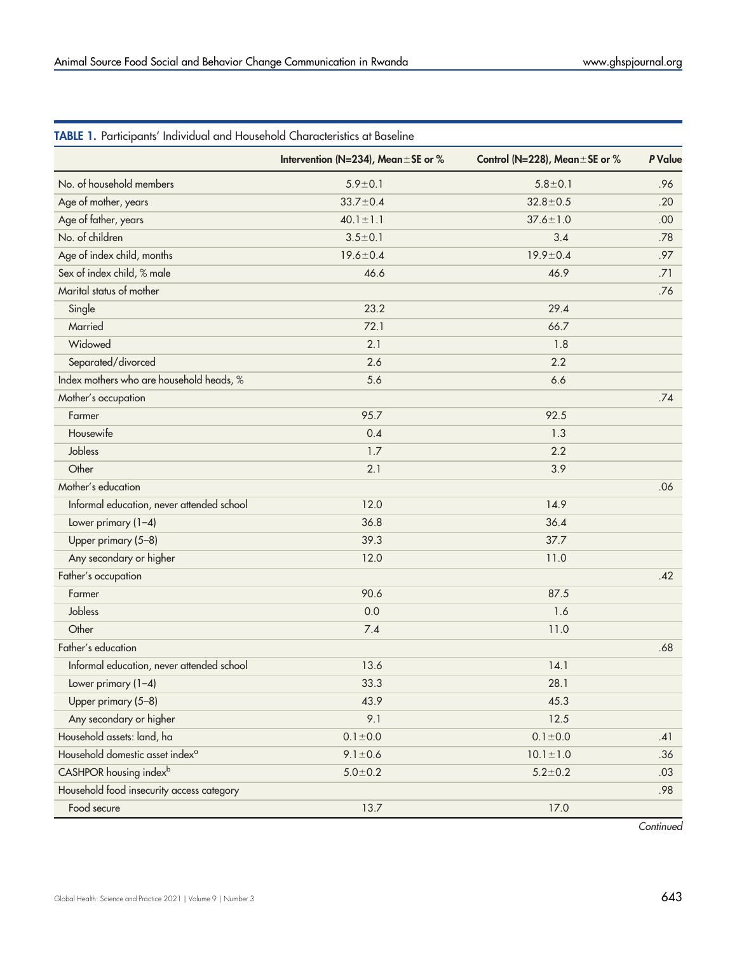|                                             | Intervention (N=234), Mean ±SE or % | Control (N=228), Mean $\pm$ SE or %                                                                                                                                                                                   | P Value |
|---------------------------------------------|-------------------------------------|-----------------------------------------------------------------------------------------------------------------------------------------------------------------------------------------------------------------------|---------|
| No. of household members                    | $5.9 \pm 0.1$                       | $5.8 + 0.1$                                                                                                                                                                                                           | .96     |
| Age of mother, years                        | $33.7 \pm 0.4$                      | $32.8 \pm 0.5$                                                                                                                                                                                                        | .20     |
| Age of father, years                        | $40.1 \pm 1.1$                      | $37.6 \pm 1.0$                                                                                                                                                                                                        | .00     |
| No. of children                             | $3.5 \pm 0.1$                       | 3.4                                                                                                                                                                                                                   | .78     |
| Age of index child, months                  | $19.6 \pm 0.4$                      | $19.9 \pm 0.4$                                                                                                                                                                                                        | .97     |
| Sex of index child, % male                  | 46.6                                | 46.9                                                                                                                                                                                                                  | .71     |
| Marital status of mother                    |                                     |                                                                                                                                                                                                                       | .76     |
| Single                                      | 23.2                                | 29.4                                                                                                                                                                                                                  |         |
| Married                                     | 72.1                                | 66.7                                                                                                                                                                                                                  |         |
| Widowed                                     | 2.1                                 | 1.8                                                                                                                                                                                                                   |         |
| Separated/divorced                          | 2.6                                 | 2.2                                                                                                                                                                                                                   |         |
| Index mothers who are household heads, %    | 5.6                                 | 6.6                                                                                                                                                                                                                   |         |
| Mother's occupation                         |                                     |                                                                                                                                                                                                                       | .74     |
| Farmer                                      | 95.7                                | 92.5                                                                                                                                                                                                                  |         |
| Housewife                                   | 0.4                                 | 1.3                                                                                                                                                                                                                   |         |
| Jobless                                     | 1.7                                 | 2.2                                                                                                                                                                                                                   |         |
| Other                                       | 2.1                                 | 3.9                                                                                                                                                                                                                   |         |
| Mother's education                          |                                     |                                                                                                                                                                                                                       | .06     |
| Informal education, never attended school   | 12.0                                | 14.9                                                                                                                                                                                                                  |         |
| Lower primary (1-4)                         | 36.8                                | 36.4                                                                                                                                                                                                                  |         |
| Upper primary (5-8)                         | 39.3                                | 37.7                                                                                                                                                                                                                  |         |
| Any secondary or higher                     | 12.0                                | 11.0<br>90.6<br>87.5<br>0.0<br>1.6<br>7.4<br>11.0<br>13.6<br>14.1<br>33.3<br>28.1<br>43.9<br>45.3<br>9.1<br>12.5<br>$0.1 \pm 0.0$<br>$0.1 \pm 0.0$<br>$10.1 \pm 1.0$<br>$9.1 \pm 0.6$<br>$5.0 + 0.2$<br>$5.2 \pm 0.2$ |         |
| Father's occupation                         |                                     |                                                                                                                                                                                                                       | .42     |
| Farmer                                      |                                     |                                                                                                                                                                                                                       |         |
| Jobless                                     |                                     |                                                                                                                                                                                                                       |         |
| Other                                       |                                     |                                                                                                                                                                                                                       |         |
| Father's education                          |                                     |                                                                                                                                                                                                                       | .68     |
| Informal education, never attended school   |                                     |                                                                                                                                                                                                                       |         |
| Lower primary (1-4)                         |                                     |                                                                                                                                                                                                                       |         |
| Upper primary (5-8)                         |                                     |                                                                                                                                                                                                                       |         |
| Any secondary or higher                     |                                     |                                                                                                                                                                                                                       |         |
| Household assets: land, ha                  |                                     |                                                                                                                                                                                                                       | .41     |
| Household domestic asset index <sup>a</sup> |                                     |                                                                                                                                                                                                                       | .36     |
| CASHPOR housing index <sup>b</sup>          |                                     |                                                                                                                                                                                                                       | .03     |
| Household food insecurity access category   |                                     |                                                                                                                                                                                                                       | .98     |
| Food secure                                 | 13.7                                | 17.0                                                                                                                                                                                                                  |         |

# <span id="page-3-0"></span>TABLE 1. Participants' Individual and Household Characteristics at Baseline

**Continued**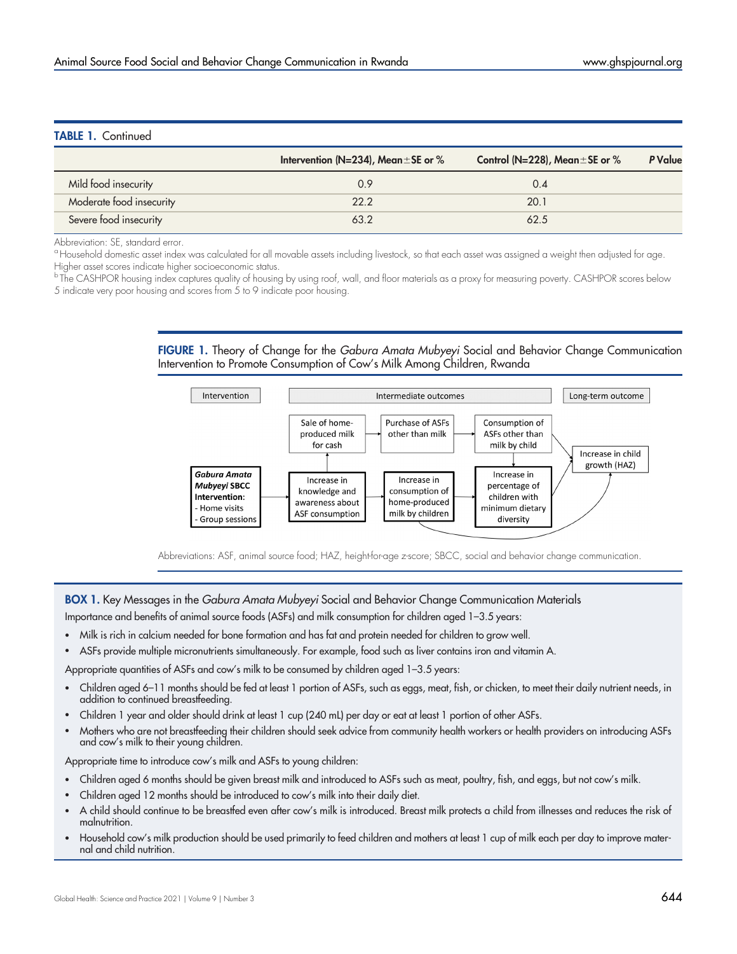### <span id="page-4-0"></span>TABLE 1. Continued

|                          | Intervention (N=234), Mean $\pm$ SE or % | Control (N=228), Mean $\pm$ SE or % | P Value |
|--------------------------|------------------------------------------|-------------------------------------|---------|
| Mild food insecurity     | 0.9                                      | 0.4                                 |         |
| Moderate food insecurity | 22.2                                     | 20.1                                |         |
| Severe food insecurity   | 63.2                                     | 62.5                                |         |

Abbreviation: SE, standard error.

<sup>a</sup> Household domestic asset index was calculated for all movable assets including livestock, so that each asset was assigned a weight then adjusted for age. Higher asset scores indicate higher socioeconomic status.

 $^{\rm b}$ The CASHPOR housing index captures quality of housing by using roof, wall, and floor materials as a proxy for measuring poverty. CASHPOR scores below 5 indicate very poor housing and scores from 5 to 9 indicate poor housing.

> FIGURE 1. Theory of Change for the Gabura Amata Mubyeyi Social and Behavior Change Communication Intervention to Promote Consumption of Cow's Milk Among Children, Rwanda



Abbreviations: ASF, animal source food; HAZ, height-for-age z-score; SBCC, social and behavior change communication.

### <span id="page-4-1"></span>**BOX 1.** Key Messages in the *Gabura Amata Mubyeyi* Social and Behavior Change Communication Materials Importance and benefits of animal source foods (ASFs) and milk consumption for children aged 1–3.5 years:

- Milk is rich in calcium needed for bone formation and has fat and protein needed for children to grow well.
- ASFs provide multiple micronutrients simultaneously. For example, food such as liver contains iron and vitamin A.

Appropriate quantities of ASFs and cow's milk to be consumed by children aged 1-3.5 years:

- Children aged 6–11 months should be fed at least 1 portion of ASFs, such as eggs, meat, fish, or chicken, to meet their daily nutrient needs, in addition to continued breastfeeding.
- Children 1 year and older should drink at least 1 cup (240 mL) per day or eat at least 1 portion of other ASFs.
- Mothers who are not breastfeeding their children should seek advice from community health workers or health providers on introducing ASFs and cow's milk to their young children.

Appropriate time to introduce cow's milk and ASFs to young children:

- Children aged 6 months should be given breast milk and introduced to ASFs such as meat, poultry, fish, and eggs, but not cow's milk.
- Children aged 12 months should be introduced to cow's milk into their daily diet.
- A child should continue to be breastfed even after cow's milk is introduced. Breast milk protects a child from illnesses and reduces the risk of malnutrition.
- Household cow's milk production should be used primarily to feed children and mothers at least 1 cup of milk each per day to improve maternal and child nutrition.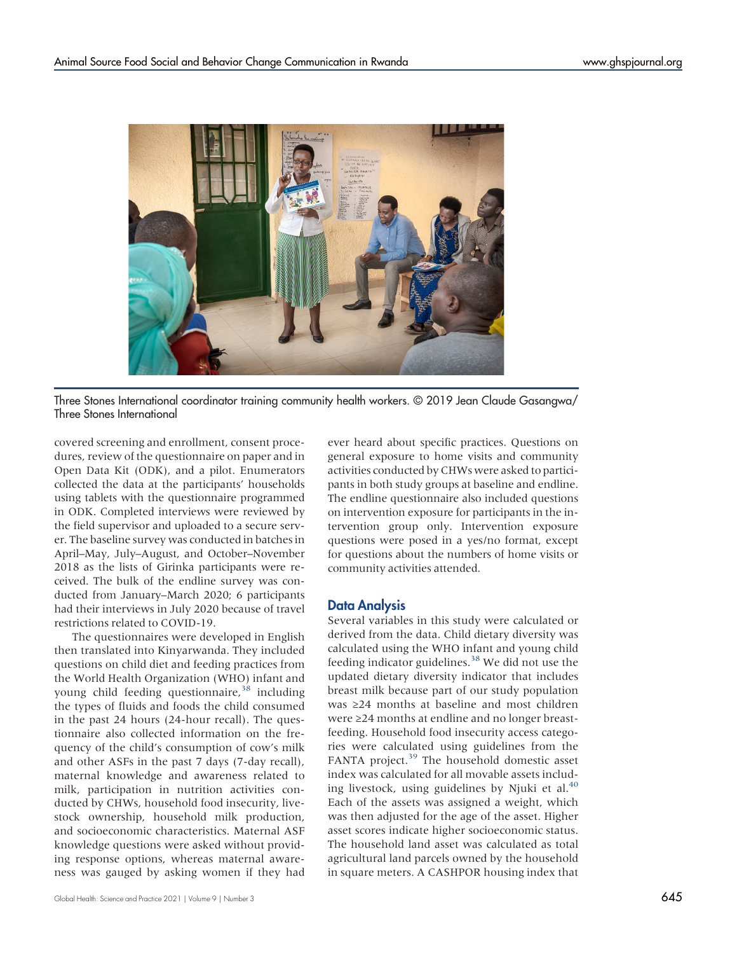

Three Stones International coordinator training community health workers. © 2019 Jean Claude Gasangwa/ Three Stones International

covered screening and enrollment, consent procedures, review of the questionnaire on paper and in Open Data Kit (ODK), and a pilot. Enumerators collected the data at the participants' households using tablets with the questionnaire programmed in ODK. Completed interviews were reviewed by the field supervisor and uploaded to a secure server. The baseline survey was conducted in batches in April–May, July–August, and October–November 2018 as the lists of Girinka participants were received. The bulk of the endline survey was conducted from January–March 2020; 6 participants had their interviews in July 2020 because of travel restrictions related to COVID-19.

The questionnaires were developed in English then translated into Kinyarwanda. They included questions on child diet and feeding practices from the World Health Organization (WHO) infant and young child feeding questionnaire,  $38$  including the types of fluids and foods the child consumed in the past 24 hours (24-hour recall). The questionnaire also collected information on the frequency of the child's consumption of cow's milk and other ASFs in the past 7 days (7-day recall), maternal knowledge and awareness related to milk, participation in nutrition activities conducted by CHWs, household food insecurity, livestock ownership, household milk production, and socioeconomic characteristics. Maternal ASF knowledge questions were asked without providing response options, whereas maternal awareness was gauged by asking women if they had ever heard about specific practices. Questions on general exposure to home visits and community activities conducted by CHWs were asked to participants in both study groups at baseline and endline. The endline questionnaire also included questions on intervention exposure for participants in the intervention group only. Intervention exposure questions were posed in a yes/no format, except for questions about the numbers of home visits or community activities attended.

### Data Analysis

Several variables in this study were calculated or derived from the data. Child dietary diversity was calculated using the WHO infant and young child feeding indicator guidelines.<sup>[38](#page-12-17)</sup> We did not use the updated dietary diversity indicator that includes breast milk because part of our study population was ≥24 months at baseline and most children were ≥24 months at endline and no longer breastfeeding. Household food insecurity access categories were calculated using guidelines from the FANTA project.<sup>39</sup> The household domestic asset index was calculated for all movable assets includ-ing livestock, using guidelines by Njuki et al.<sup>[40](#page-12-19)</sup> Each of the assets was assigned a weight, which was then adjusted for the age of the asset. Higher asset scores indicate higher socioeconomic status. The household land asset was calculated as total agricultural land parcels owned by the household in square meters. A CASHPOR housing index that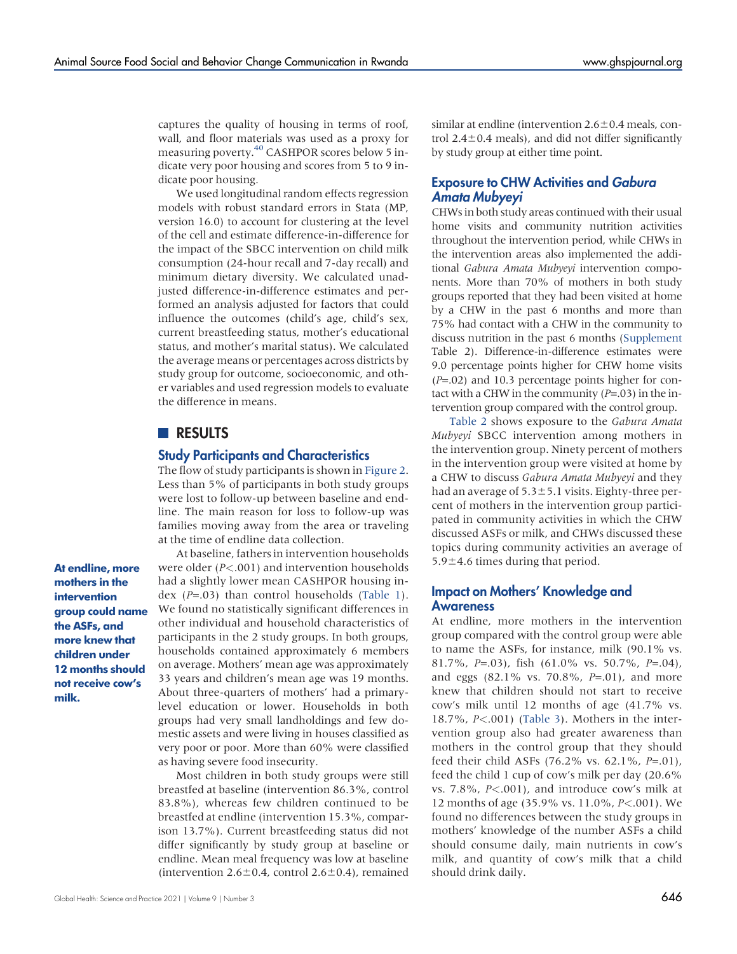captures the quality of housing in terms of roof, wall, and floor materials was used as a proxy for measuring poverty[.40](#page-12-19) CASHPOR scores below 5 indicate very poor housing and scores from 5 to 9 indicate poor housing.

We used longitudinal random effects regression models with robust standard errors in Stata (MP, version 16.0) to account for clustering at the level of the cell and estimate difference-in-difference for the impact of the SBCC intervention on child milk consumption (24-hour recall and 7-day recall) and minimum dietary diversity. We calculated unadjusted difference-in-difference estimates and performed an analysis adjusted for factors that could influence the outcomes (child's age, child's sex, current breastfeeding status, mother's educational status, and mother's marital status). We calculated the average means or percentages across districts by study group for outcome, socioeconomic, and other variables and used regression models to evaluate the difference in means.

# **RESULTS**

#### Study Participants and Characteristics

The flow of study participants is shown in [Figure 2](#page-7-0). Less than 5% of participants in both study groups were lost to follow-up between baseline and endline. The main reason for loss to follow-up was families moving away from the area or traveling at the time of endline data collection.

At endline, more mothers in the intervention group could name the ASFs, and more knew that children under 12 months should not receive cow's milk.

At baseline, fathers in intervention households were older (P<.001) and intervention households had a slightly lower mean CASHPOR housing index  $(P=.03)$  than control households [\(Table 1](#page-3-0)). We found no statistically significant differences in other individual and household characteristics of participants in the 2 study groups. In both groups, households contained approximately 6 members on average. Mothers' mean age was approximately 33 years and children's mean age was 19 months. About three-quarters of mothers' had a primarylevel education or lower. Households in both groups had very small landholdings and few domestic assets and were living in houses classified as very poor or poor. More than 60% were classified as having severe food insecurity.

Most children in both study groups were still breastfed at baseline (intervention 86.3%, control 83.8%), whereas few children continued to be breastfed at endline (intervention 15.3%, comparison 13.7%). Current breastfeeding status did not differ significantly by study group at baseline or endline. Mean meal frequency was low at baseline (intervention  $2.6 \pm 0.4$ , control  $2.6 \pm 0.4$ ), remained

similar at endline (intervention  $2.6\pm0.4$  meals, control  $2.4\pm0.4$  meals), and did not differ significantly by study group at either time point.

### Exposure to CHW Activities and Gabura Amata Mubyeyi

CHWs in both study areas continued with their usual home visits and community nutrition activities throughout the intervention period, while CHWs in the intervention areas also implemented the additional Gabura Amata Mubyeyi intervention components. More than 70% of mothers in both study groups reported that they had been visited at home by a CHW in the past 6 months and more than 75% had contact with a CHW in the community to discuss nutrition in the past 6 months [\(Supplement](http://ghspjournal.org/lookup/suppl/doi:10.9745/GHSP-D-22-00082/-/DCSupplemental) Table 2). Difference-in-difference estimates were 9.0 percentage points higher for CHW home visits  $(P=.02)$  and 10.3 percentage points higher for contact with a CHW in the community  $(P=.03)$  in the intervention group compared with the control group.

[Table 2](#page-7-1) shows exposure to the Gabura Amata Mubyeyi SBCC intervention among mothers in the intervention group. Ninety percent of mothers in the intervention group were visited at home by a CHW to discuss Gabura Amata Mubyeyi and they had an average of  $5.3\pm5.1$  visits. Eighty-three percent of mothers in the intervention group participated in community activities in which the CHW discussed ASFs or milk, and CHWs discussed these topics during community activities an average of  $5.9\pm4.6$  times during that period.

### Impact on Mothers' Knowledge and **Awareness**

At endline, more mothers in the intervention group compared with the control group were able to name the ASFs, for instance, milk (90.1% vs. 81.7%, P=.03), fish  $(61.0\% \text{ vs. } 50.7\%, \text{ P=}.04)$ , and eggs  $(82.1\% \text{ vs. } 70.8\%, P=.01)$ , and more knew that children should not start to receive cow's milk until 12 months of age (41.7% vs. 18.7%, P<.001) ([Table 3\)](#page-8-0). Mothers in the intervention group also had greater awareness than mothers in the control group that they should feed their child ASFs (76.2% vs. 62.1%, P=.01), feed the child 1 cup of cow's milk per day (20.6% vs. 7.8%, P<.001), and introduce cow's milk at 12 months of age (35.9% vs. 11.0%, P<.001). We found no differences between the study groups in mothers' knowledge of the number ASFs a child should consume daily, main nutrients in cow's milk, and quantity of cow's milk that a child should drink daily.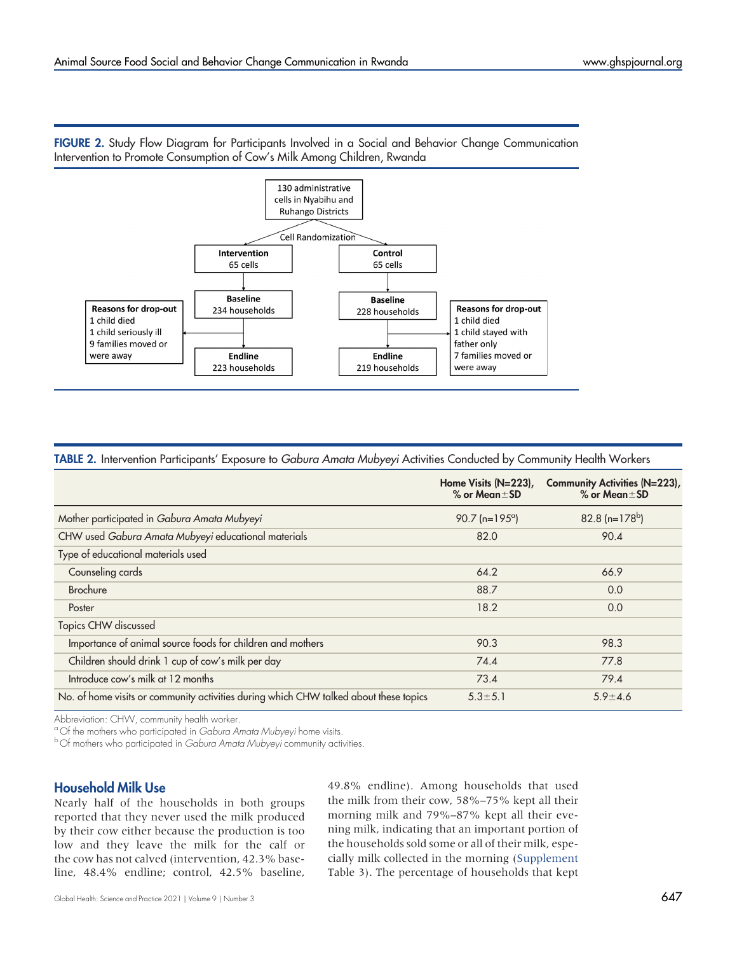

<span id="page-7-0"></span>FIGURE 2. Study Flow Diagram for Participants Involved in a Social and Behavior Change Communication Intervention to Promote Consumption of Cow's Milk Among Children, Rwanda

#### <span id="page-7-1"></span>TABLE 2. Intervention Participants' Exposure to Gabura Amata Mubyeyi Activities Conducted by Community Health Workers

|                                                                                       | Home Visits $(N=223)$ ,<br>$%$ or Mean $±$ SD | Community Activities (N=223),<br>$%$ or Mean $±$ SD |
|---------------------------------------------------------------------------------------|-----------------------------------------------|-----------------------------------------------------|
| Mother participated in Gabura Amata Mubyeyi                                           | $90.7$ (n=195 <sup>o</sup> )                  | 82.8 (n= $178^{\rm b}$ )                            |
| CHW used Gabura Amata Mubyeyi educational materials                                   | 82.0                                          | 90.4                                                |
| Type of educational materials used                                                    |                                               |                                                     |
| Counseling cards                                                                      | 64.2                                          | 66.9                                                |
| <b>Brochure</b>                                                                       | 88.7                                          | 0.0                                                 |
| Poster                                                                                | 18.2                                          | 0.0                                                 |
| Topics CHW discussed                                                                  |                                               |                                                     |
| Importance of animal source foods for children and mothers                            | 90.3                                          | 98.3                                                |
| Children should drink 1 cup of cow's milk per day                                     | 74.4                                          | 77.8                                                |
| Introduce cow's milk at 12 months                                                     | 73.4                                          | 79.4                                                |
| No. of home visits or community activities during which CHW talked about these topics | $5.3 \pm 5.1$                                 | $5.9 \pm 4.6$                                       |

Abbreviation: CHW, community health worker.<br><sup>a</sup> Of the mothers who participated in *Gabura Amata Mubyevi* home visits.

<sup>b</sup> Of mothers who participated in Gabura Amata Mubyeyi community activities.

### Household Milk Use

Nearly half of the households in both groups reported that they never used the milk produced by their cow either because the production is too low and they leave the milk for the calf or the cow has not calved (intervention, 42.3% baseline, 48.4% endline; control, 42.5% baseline,

49.8% endline). Among households that used the milk from their cow, 58%–75% kept all their morning milk and 79%–87% kept all their evening milk, indicating that an important portion of the households sold some or all of their milk, especially milk collected in the morning [\(Supplement](http://ghspjournal.org/lookup/suppl/doi:10.9745/GHSP-D-22-00082/-/DCSupplemental) Table 3). The percentage of households that kept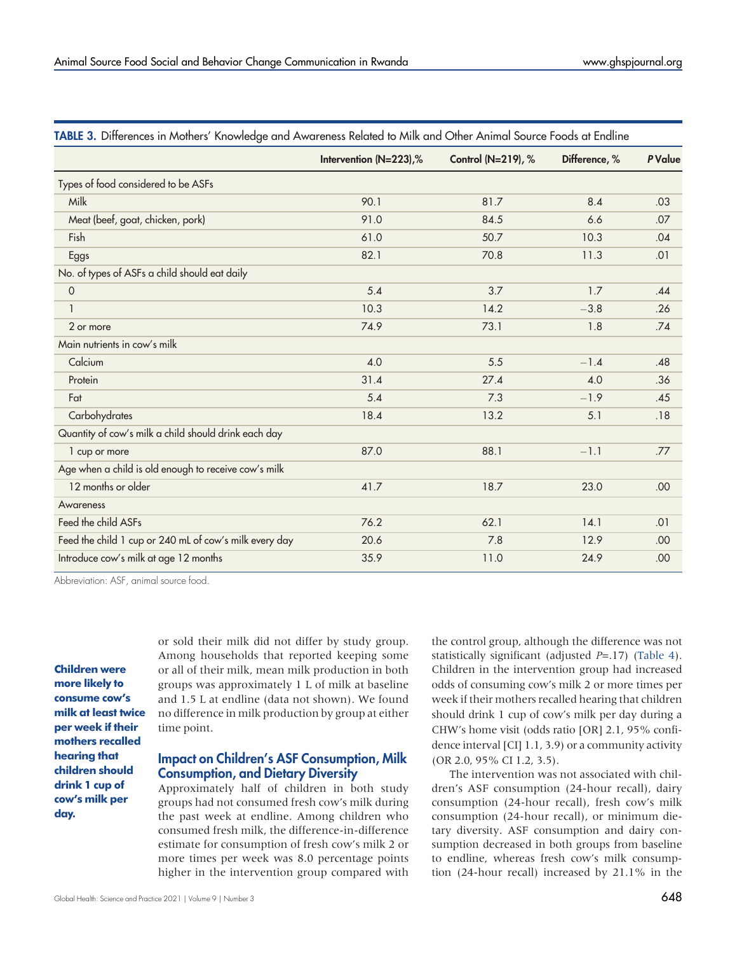|                                                        | Intervention (N=223),% | Control (N=219), % | Difference, % | <b>P</b> Value |
|--------------------------------------------------------|------------------------|--------------------|---------------|----------------|
| Types of food considered to be ASFs                    |                        |                    |               |                |
| Milk                                                   | 90.1                   | 81.7               | 8.4           | .03            |
| Meat (beef, goat, chicken, pork)                       | 91.0                   | 84.5               | 6.6           | .07            |
| Fish                                                   | 61.0                   | 50.7               | 10.3          | .04            |
| Eggs                                                   | 82.1                   | 70.8               | 11.3          | .01            |
| No. of types of ASFs a child should eat daily          |                        |                    |               |                |
| $\mathsf{O}\xspace$                                    | 5.4                    | 3.7                | 1.7           | .44            |
| $\mathbf{1}$                                           | 10.3                   | 14.2               | $-3.8$        | .26            |
| 2 or more                                              | 74.9                   | 73.1               | 1.8           | .74            |
| Main nutrients in cow's milk                           |                        |                    |               |                |
| Calcium                                                | 4.0                    | 5.5                | $-1.4$        | .48            |
| Protein                                                | 31.4                   | 27.4               | 4.0           | .36            |
| Fat                                                    | 5.4                    | 7.3                | $-1.9$        | .45            |
| Carbohydrates                                          | 18.4                   | 13.2               | 5.1           | .18            |
| Quantity of cow's milk a child should drink each day   |                        |                    |               |                |
| 1 cup or more                                          | 87.0                   | 88.1               | $-1.1$        | .77            |
| Age when a child is old enough to receive cow's milk   |                        |                    |               |                |
| 12 months or older                                     | 41.7                   | 18.7               | 23.0          | .00            |
| Awareness                                              |                        |                    |               |                |
| Feed the child ASFs                                    | 76.2                   | 62.1               | 14.1          | .01            |
| Feed the child 1 cup or 240 mL of cow's milk every day | 20.6                   | 7.8                | 12.9          | .00            |
| Introduce cow's milk at age 12 months                  | 35.9                   | 11.0               | 24.9          | .00            |

<span id="page-8-0"></span>TABLE 3. Differences in Mothers' Knowledge and Awareness Related to Milk and Other Animal Source Foods at Endline

Abbreviation: ASF, animal source food.

Children were more likely to consume cow's milk at least twice per week if their mothers recalled hearing that children should drink 1 cup of cow's milk per day.

or sold their milk did not differ by study group. Among households that reported keeping some or all of their milk, mean milk production in both groups was approximately 1 L of milk at baseline and 1.5 L at endline (data not shown). We found no difference in milk production by group at either time point.

### Impact on Children's ASF Consumption, Milk Consumption, and Dietary Diversity

Approximately half of children in both study groups had not consumed fresh cow's milk during the past week at endline. Among children who consumed fresh milk, the difference-in-difference estimate for consumption of fresh cow's milk 2 or more times per week was 8.0 percentage points higher in the intervention group compared with

the control group, although the difference was not statistically significant (adjusted  $P=17$ ) ([Table 4\)](#page-9-0). Children in the intervention group had increased odds of consuming cow's milk 2 or more times per week if their mothers recalled hearing that children should drink 1 cup of cow's milk per day during a CHW's home visit (odds ratio [OR] 2.1, 95% confidence interval [CI] 1.1, 3.9) or a community activity (OR 2.0, 95% CI 1.2, 3.5).

The intervention was not associated with children's ASF consumption (24-hour recall), dairy consumption (24-hour recall), fresh cow's milk consumption (24-hour recall), or minimum dietary diversity. ASF consumption and dairy consumption decreased in both groups from baseline to endline, whereas fresh cow's milk consumption (24-hour recall) increased by 21.1% in the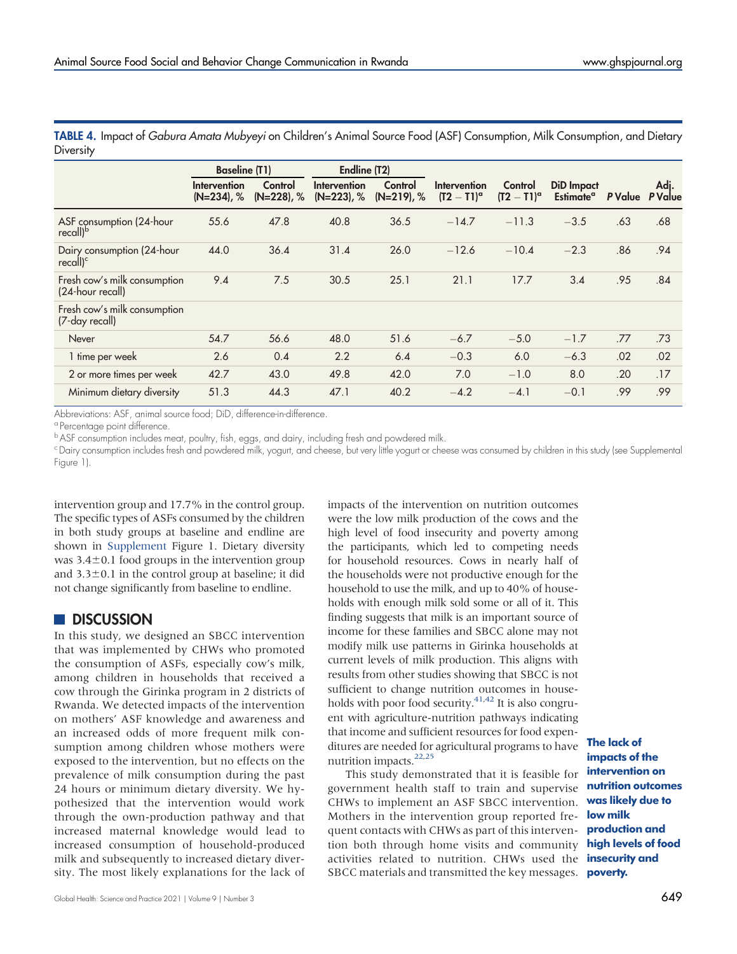| $\epsilon$                                         |                               |                          |                               |                          |                                    |                               |                                            |                      |      |
|----------------------------------------------------|-------------------------------|--------------------------|-------------------------------|--------------------------|------------------------------------|-------------------------------|--------------------------------------------|----------------------|------|
|                                                    | <b>Baseline (T1)</b>          |                          | Endline (T2)                  |                          |                                    |                               |                                            |                      |      |
|                                                    | Intervention<br>$(N=234)$ , % | Control<br>$(N=228)$ , % | Intervention<br>$(N=223)$ , % | Control<br>$(N=219)$ , % | Intervention<br>$(T2 - T1)^\alpha$ | Control<br>$(T2 - T1)^\alpha$ | <b>DiD</b> Impact<br>Estimate <sup>a</sup> | <b>PValue</b> PValue | Adj. |
| ASF consumption (24-hour<br>recall) <sup>b</sup>   | 55.6                          | 47.8                     | 40.8                          | 36.5                     | $-14.7$                            | $-11.3$                       | $-3.5$                                     | .63                  | .68  |
| Dairy consumption (24-hour<br>recall) <sup>c</sup> | 44.0                          | 36.4                     | 31.4                          | 26.0                     | $-12.6$                            | $-10.4$                       | $-2.3$                                     | .86                  | .94  |
| Fresh cow's milk consumption<br>(24-hour recall)   | 9.4                           | 7.5                      | 30.5                          | 25.1                     | 21.1                               | 17.7                          | 3.4                                        | .95                  | .84  |
| Fresh cow's milk consumption<br>(7-day recall)     |                               |                          |                               |                          |                                    |                               |                                            |                      |      |
| Never                                              | 54.7                          | 56.6                     | 48.0                          | 51.6                     | $-6.7$                             | $-5.0$                        | $-1.7$                                     | .77                  | .73  |
| 1 time per week                                    | 2.6                           | 0.4                      | 2.2                           | 6.4                      | $-0.3$                             | 6.0                           | $-6.3$                                     | .02                  | .02  |
| 2 or more times per week                           | 42.7                          | 43.0                     | 49.8                          | 42.0                     | 7.0                                | $-1.0$                        | 8.0                                        | .20                  | .17  |
| Minimum dietary diversity                          | 51.3                          | 44.3                     | 47.1                          | 40.2                     | $-4.2$                             | $-4.1$                        | $-0.1$                                     | .99                  | .99  |

<span id="page-9-0"></span>TABLE 4. Impact of Gabura Amata Mubyeyi on Children's Animal Source Food (ASF) Consumption, Milk Consumption, and Dietary **Diversity** 

Abbreviations: ASF, animal source food; DiD, difference-in-difference.

<sup>a</sup> Percentage point difference.

b ASF consumption includes meat, poultry, fish, eggs, and dairy, including fresh and powdered milk.

cDairy consumption includes fresh and powdered milk, yogurt, and cheese, but very little yogurt or cheese was consumed by children in this study (see Supplemental Figure 1).

intervention group and 17.7% in the control group. The specific types of ASFs consumed by the children in both study groups at baseline and endline are shown in [Supplement](http://ghspjournal.org/lookup/suppl/doi:10.9745/GHSP-D-22-00082/-/DCSupplemental) Figure 1. Dietary diversity was  $3.4\pm0.1$  food groups in the intervention group and  $3.3\pm0.1$  in the control group at baseline; it did not change significantly from baseline to endline.

### **DISCUSSION**

In this study, we designed an SBCC intervention that was implemented by CHWs who promoted the consumption of ASFs, especially cow's milk, among children in households that received a cow through the Girinka program in 2 districts of Rwanda. We detected impacts of the intervention on mothers' ASF knowledge and awareness and an increased odds of more frequent milk consumption among children whose mothers were exposed to the intervention, but no effects on the prevalence of milk consumption during the past 24 hours or minimum dietary diversity. We hypothesized that the intervention would work through the own-production pathway and that increased maternal knowledge would lead to increased consumption of household-produced milk and subsequently to increased dietary diversity. The most likely explanations for the lack of

impacts of the intervention on nutrition outcomes were the low milk production of the cows and the high level of food insecurity and poverty among the participants, which led to competing needs for household resources. Cows in nearly half of the households were not productive enough for the household to use the milk, and up to 40% of households with enough milk sold some or all of it. This finding suggests that milk is an important source of income for these families and SBCC alone may not modify milk use patterns in Girinka households at current levels of milk production. This aligns with results from other studies showing that SBCC is not sufficient to change nutrition outcomes in households with poor food security. $41,42$  $41,42$  It is also congruent with agriculture-nutrition pathways indicating that income and sufficient resources for food expenditures are needed for agricultural programs to have nutrition impacts. $22,25$  $22,25$ 

This study demonstrated that it is feasible for government health staff to train and supervise CHWs to implement an ASF SBCC intervention. Mothers in the intervention group reported frequent contacts with CHWs as part of this intervention both through home visits and community activities related to nutrition. CHWs used the **insecurity and** SBCC materials and transmitted the key messages. poverty.

The lack of impacts of the intervention on nutrition outcomes was likely due to low milk production and high levels of food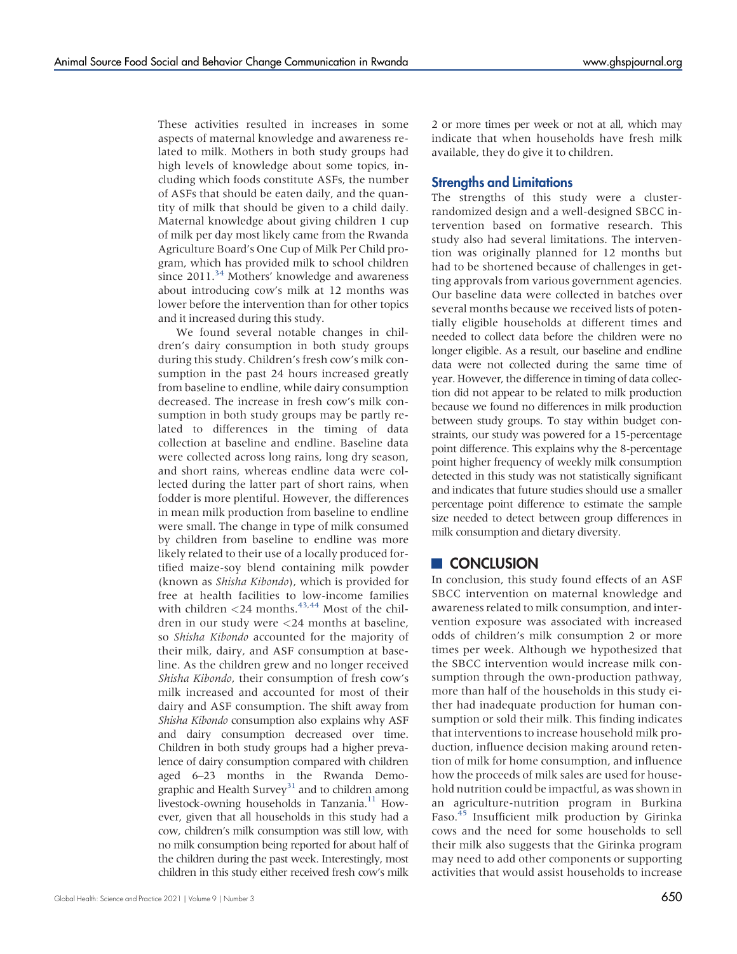These activities resulted in increases in some aspects of maternal knowledge and awareness related to milk. Mothers in both study groups had high levels of knowledge about some topics, including which foods constitute ASFs, the number of ASFs that should be eaten daily, and the quantity of milk that should be given to a child daily. Maternal knowledge about giving children 1 cup of milk per day most likely came from the Rwanda Agriculture Board's One Cup of Milk Per Child program, which has provided milk to school children since  $2011.^{34}$  Mothers' knowledge and awareness about introducing cow's milk at 12 months was lower before the intervention than for other topics and it increased during this study.

We found several notable changes in children's dairy consumption in both study groups during this study. Children's fresh cow's milk consumption in the past 24 hours increased greatly from baseline to endline, while dairy consumption decreased. The increase in fresh cow's milk consumption in both study groups may be partly related to differences in the timing of data collection at baseline and endline. Baseline data were collected across long rains, long dry season, and short rains, whereas endline data were collected during the latter part of short rains, when fodder is more plentiful. However, the differences in mean milk production from baseline to endline were small. The change in type of milk consumed by children from baseline to endline was more likely related to their use of a locally produced fortified maize-soy blend containing milk powder (known as Shisha Kibondo), which is provided for free at health facilities to low-income families with children  $<$  24 months.<sup>[43,](#page-12-22)[44](#page-12-23)</sup> Most of the children in our study were <24 months at baseline, so Shisha Kibondo accounted for the majority of their milk, dairy, and ASF consumption at baseline. As the children grew and no longer received Shisha Kibondo, their consumption of fresh cow's milk increased and accounted for most of their dairy and ASF consumption. The shift away from Shisha Kibondo consumption also explains why ASF and dairy consumption decreased over time. Children in both study groups had a higher prevalence of dairy consumption compared with children aged 6–23 months in the Rwanda Demographic and Health Survey<sup>31</sup> and to children among livestock-owning households in Tanzania.<sup>11</sup> However, given that all households in this study had a cow, children's milk consumption was still low, with no milk consumption being reported for about half of the children during the past week. Interestingly, most children in this study either received fresh cow's milk

Global Health: Science and Practice 2021 | Volume 9 | Number 3  $\sqrt{50}$ 

2 or more times per week or not at all, which may indicate that when households have fresh milk available, they do give it to children.

### Strengths and Limitations

The strengths of this study were a clusterrandomized design and a well-designed SBCC intervention based on formative research. This study also had several limitations. The intervention was originally planned for 12 months but had to be shortened because of challenges in getting approvals from various government agencies. Our baseline data were collected in batches over several months because we received lists of potentially eligible households at different times and needed to collect data before the children were no longer eligible. As a result, our baseline and endline data were not collected during the same time of year. However, the difference in timing of data collection did not appear to be related to milk production because we found no differences in milk production between study groups. To stay within budget constraints, our study was powered for a 15-percentage point difference. This explains why the 8-percentage point higher frequency of weekly milk consumption detected in this study was not statistically significant and indicates that future studies should use a smaller percentage point difference to estimate the sample size needed to detect between group differences in milk consumption and dietary diversity.

### **CONCLUSION**

In conclusion, this study found effects of an ASF SBCC intervention on maternal knowledge and awareness related to milk consumption, and intervention exposure was associated with increased odds of children's milk consumption 2 or more times per week. Although we hypothesized that the SBCC intervention would increase milk consumption through the own-production pathway, more than half of the households in this study either had inadequate production for human consumption or sold their milk. This finding indicates that interventions to increase household milk production, influence decision making around retention of milk for home consumption, and influence how the proceeds of milk sales are used for household nutrition could be impactful, as was shown in an agriculture-nutrition program in Burkina Faso.[45](#page-12-24) Insufficient milk production by Girinka cows and the need for some households to sell their milk also suggests that the Girinka program may need to add other components or supporting activities that would assist households to increase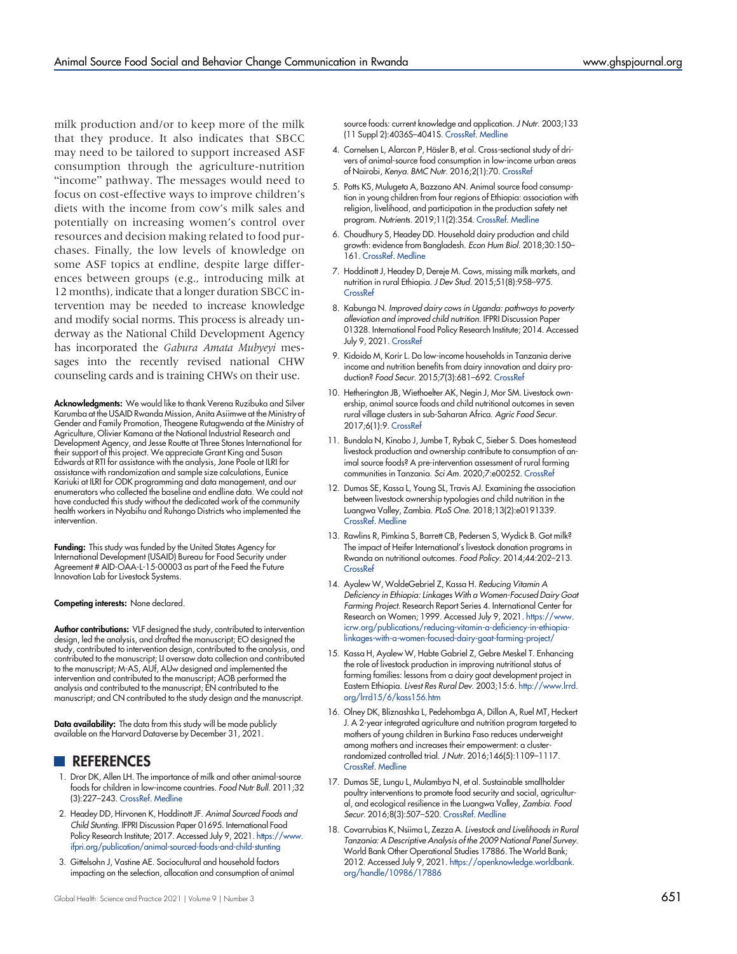milk production and/or to keep more of the milk that they produce. It also indicates that SBCC may need to be tailored to support increased ASF consumption through the agriculture-nutrition "income" pathway. The messages would need to focus on cost-effective ways to improve children's diets with the income from cow's milk sales and potentially on increasing women's control over resources and decision making related to food purchases. Finally, the low levels of knowledge on some ASF topics at endline, despite large differences between groups (e.g., introducing milk at 12 months), indicate that a longer duration SBCC intervention may be needed to increase knowledge and modify social norms. This process is already underway as the National Child Development Agency has incorporated the Gabura Amata Mubyeyi messages into the recently revised national CHW counseling cards and is training CHWs on their use.

Acknowledgments: We would like to thank Verena Ruzibuka and Silver Karumba at the USAID Rwanda Mission, Anita Asiimwe at the Ministry of Gender and Family Promotion, Theogene Rutagwenda at the Ministry of Agriculture, Olivier Kamana at the National Industrial Research and Development Agency, and Jesse Routte at Three Stones International for their support of this project. We appreciate Grant King and Susan Edwards at RTI for assistance with the analysis, Jane Poole at ILRI for assistance with randomization and sample size calculations, Eunice Kariuki at ILRI for ODK programming and data management, and our enumerators who collected the baseline and endline data. We could not have conducted this study without the dedicated work of the community health workers in Nyabihu and Ruhango Districts who implemented the intervention.

Funding: This study was funded by the United States Agency for International Development (USAID) Bureau for Food Security under Agreement # AID-OAA-L-15-00003 as part of the Feed the Future Innovation Lab for Livestock Systems.

Competing interests: None declared.

Author contributions: VLF designed the study, contributed to intervention design, led the analysis, and drafted the manuscript; EO designed the study, contributed to intervention design, contributed to the analysis, and contributed to the manuscript; LI oversaw data collection and contributed to the manuscript; M-AS, AUf, AUw designed and implemented the intervention and contributed to the manuscript; AOB performed the analysis and contributed to the manuscript; EN contributed to the manuscript; and CN contributed to the study design and the manuscript.

Data availability: The data from this study will be made publicly available on the Harvard Dataverse by December 31, 2021.

- **REFERENCES**
- <span id="page-11-0"></span>1. Dror DK, Allen LH. The importance of milk and other animal-source foods for children in low-income countries. Food Nutr Bull. 2011;32 (3):227–243. [CrossRef](https://doi.org/10.1177/156482651103200307). [Medline](http://www.ncbi.nlm.nih.gov/pubmed/22073797)
- <span id="page-11-1"></span>2. Headey DD, Hirvonen K, Hoddinott JF. Animal Sourced Foods and Child Stunting. IFPRI Discussion Paper 01695. International Food Policy Research Institute; 2017. Accessed July 9, 2021. [https://www.](https://www.ifpri.org/publication/animal-sourced-foods-and-child-stunting) [ifpri.org/publication/animal-sourced-foods-and-child-stunting](https://www.ifpri.org/publication/animal-sourced-foods-and-child-stunting)
- <span id="page-11-2"></span>3. Gittelsohn J, Vastine AE. Sociocultural and household factors impacting on the selection, allocation and consumption of animal

source foods: current knowledge and application. J Nutr. 2003;133 (11 Suppl 2):4036S–4041S. [CrossRef](https://doi.org/10.1093/jn/133.11.4036S). [Medline](http://www.ncbi.nlm.nih.gov/pubmed/14672308)

- 4. Cornelsen L, Alarcon P, Häsler B, et al. Cross-sectional study of drivers of animal-source food consumption in low-income urban areas of Nairobi, Kenya. BMC Nutr. 2016;2(1):70. [CrossRef](https://doi.org/10.1186/s40795-016-0109-z)
- <span id="page-11-3"></span>5. Potts KS, Mulugeta A, Bazzano AN. Animal source food consumption in young children from four regions of Ethiopia: association with religion, livelihood, and participation in the production safety net program. Nutrients. 2019;11(2):354. [CrossRef](https://doi.org/10.3390/nu11020354). [Medline](http://www.ncbi.nlm.nih.gov/pubmed/30743994)
- <span id="page-11-4"></span>6. Choudhury S, Headey DD. Household dairy production and child growth: evidence from Bangladesh. Econ Hum Biol. 2018;30:150– 161. [CrossRef](https://doi.org/10.1016/j.ehb.2018.07.001). [Medline](http://www.ncbi.nlm.nih.gov/pubmed/30048913)
- 7. Hoddinott J, Headey D, Dereje M. Cows, missing milk markets, and nutrition in rural Ethiopia. J Dev Stud. 2015;51(8):958–975. **[CrossRef](https://doi.org/10.1080/00220388.2015.1018903)**
- 8. Kabunga N. Improved dairy cows in Uganda: pathways to poverty alleviation and improved child nutrition. IFPRI Discussion Paper 01328. International Food Policy Research Institute; 2014. Accessed July 9, 2021. [CrossRef](https://doi.org/10.2139/ssrn.2405721)
- <span id="page-11-5"></span>9. Kidoido M, Korir L. Do low-income households in Tanzania derive income and nutrition benefits from dairy innovation and dairy production? Food Secur. 2015;7(3):681–692. [CrossRef](https://doi.org/10.1007/s12571-015-0419-z)
- <span id="page-11-6"></span>10. Hetherington JB, Wiethoelter AK, Negin J, Mor SM. Livestock ownership, animal source foods and child nutritional outcomes in seven rural village clusters in sub-Saharan Africa. Agric Food Secur. 2017;6(1):9. [CrossRef](https://doi.org/10.1186/s40066-016-0079-z)
- <span id="page-11-11"></span>11. Bundala N, Kinabo J, Jumbe T, Rybak C, Sieber S. Does homestead livestock production and ownership contribute to consumption of animal source foods? A pre-intervention assessment of rural farming communities in Tanzania. Sci Am. 2020;7:e00252. [CrossRef](https://doi.org/10.1016/j.sciaf.2019.e00252)
- <span id="page-11-7"></span>12. Dumas SE, Kassa L, Young SL, Travis AJ. Examining the association between livestock ownership typologies and child nutrition in the Luangwa Valley, Zambia. PLoS One. 2018;13(2):e0191339. [CrossRef.](https://doi.org/10.1371/journal.pone.0191339) [Medline](http://www.ncbi.nlm.nih.gov/pubmed/29408920)
- <span id="page-11-8"></span>13. Rawlins R, Pimkina S, Barrett CB, Pedersen S, Wydick B. Got milk? The impact of Heifer International's livestock donation programs in Rwanda on nutritional outcomes. Food Policy. 2014;44:202–213. **[CrossRef](https://doi.org/10.1016/j.foodpol.2013.12.003)**
- 14. Ayalew W, WoldeGebriel Z, Kassa H. Reducing Vitamin A Deficiency in Ethiopia: Linkages With a Women-Focused Dairy Goat Farming Project. Research Report Series 4. International Center for Research on Women; 1999. Accessed July 9, 2021. [https://www.](https://www.icrw.org/publications/reducing-vitamin-a-deficiency-in-ethiopia-linkages-with-a-women-focused-dairy-goat-farming-project/) [icrw.org/publications/reducing-vitamin-a-deficiency-in-ethiopia](https://www.icrw.org/publications/reducing-vitamin-a-deficiency-in-ethiopia-linkages-with-a-women-focused-dairy-goat-farming-project/)[linkages-with-a-women-focused-dairy-goat-farming-project/](https://www.icrw.org/publications/reducing-vitamin-a-deficiency-in-ethiopia-linkages-with-a-women-focused-dairy-goat-farming-project/)
- 15. Kassa H, Ayalew W, Habte Gabriel Z, Gebre Meskel T. Enhancing the role of livestock production in improving nutritional status of farming families: lessons from a dairy goat development project in Eastern Ethiopia. Livest Res Rural Dev. 2003;15:6. [http://www.lrrd.](http://www.lrrd.org/lrrd15/6/kass156.htm) [org/lrrd15/6/kass156.htm](http://www.lrrd.org/lrrd15/6/kass156.htm)
- <span id="page-11-9"></span>16. Olney DK, Bliznashka L, Pedehombga A, Dillon A, Ruel MT, Heckert J. A 2-year integrated agriculture and nutrition program targeted to mothers of young children in Burkina Faso reduces underweight among mothers and increases their empowerment: a clusterrandomized controlled trial. J Nutr. 2016;146(5):1109–1117. [CrossRef.](https://doi.org/10.3945/jn.115.224261) [Medline](http://www.ncbi.nlm.nih.gov/pubmed/27075910)
- <span id="page-11-10"></span>17. Dumas SE, Lungu L, Mulambya N, et al. Sustainable smallholder poultry interventions to promote food security and social, agricultural, and ecological resilience in the Luangwa Valley, Zambia. Food Secur. 2016;8(3):507–520. [CrossRef.](https://doi.org/10.1007/s12571-016-0579-5) [Medline](http://www.ncbi.nlm.nih.gov/pubmed/27822320)
- 18. Covarrubias K, Nsiima L, Zezza A. Livestock and Livelihoods in Rural Tanzania: A Descriptive Analysis of the 2009 National Panel Survey. World Bank Other Operational Studies 17886. The World Bank; 2012. Accessed July 9, 2021. [https://openknowledge.worldbank.](https://openknowledge.worldbank.org/handle/10986/17886) [org/handle/10986/17886](https://openknowledge.worldbank.org/handle/10986/17886)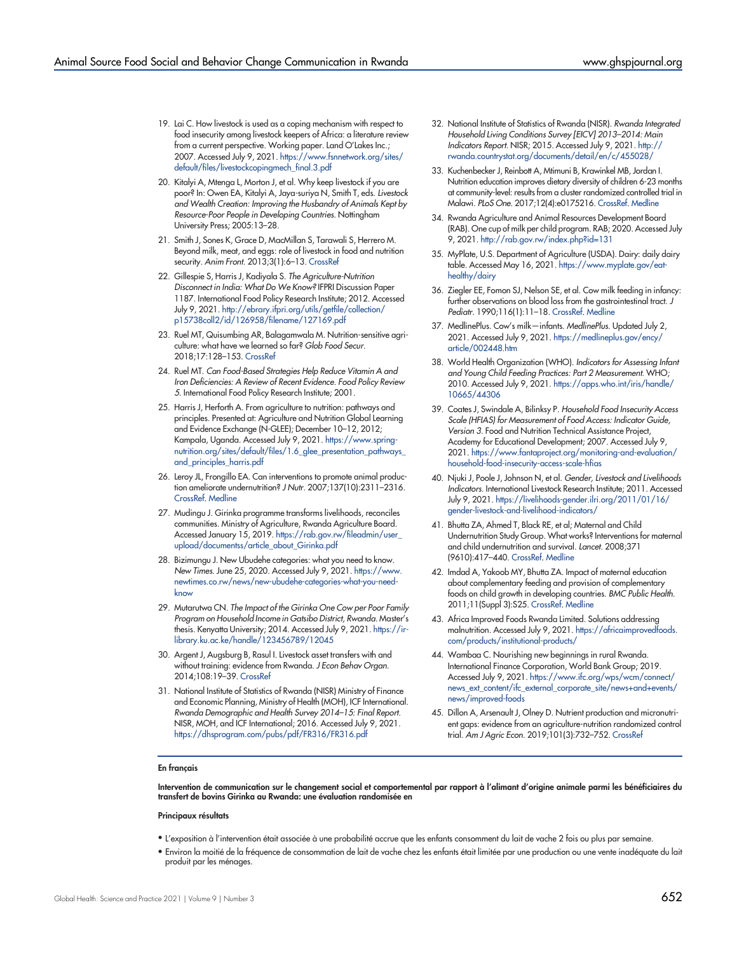- 19. Lai C. How livestock is used as a coping mechanism with respect to food insecurity among livestock keepers of Africa: a literature review from a current perspective. Working paper. Land O'Lakes Inc.; 2007. Accessed July 9, 2021. [https://www.fsnnetwork.org/sites/](https://www.fsnnetwork.org/sites/default/files/livestockcopingmech_final.3.pdf) [default/files/livestockcopingmech\\_final.3.pdf](https://www.fsnnetwork.org/sites/default/files/livestockcopingmech_final.3.pdf)
- 20. Kitalyi A, Mtenga L, Morton J, et al. Why keep livestock if you are poor? In: Owen EA, Kitalyi A, Jaya-suriya N, Smith T, eds. Livestock and Wealth Creation: Improving the Husbandry of Animals Kept by Resource-Poor People in Developing Countries. Nottingham University Press; 2005:13–28.
- <span id="page-12-1"></span>21. Smith J, Sones K, Grace D, MacMillan S, Tarawali S, Herrero M. Beyond milk, meat, and eggs: role of livestock in food and nutrition security. Anim Front. 2013;3(1):6-13. [CrossRef](https://doi.org/10.2527/af.2013-0002)
- <span id="page-12-2"></span>22. Gillespie S, Harris J, Kadiyala S. The Agriculture-Nutrition Disconnect in India: What Do We Know? IFPRI Discussion Paper 1187. International Food Policy Research Institute; 2012. Accessed July 9, 2021. [http://ebrary.ifpri.org/utils/getfile/collection/](http://ebrary.ifpri.org/utils/getfile/collection/p15738coll2/id/126958/filename/127169.pdf) [p15738coll2/id/126958/filename/127169.pdf](http://ebrary.ifpri.org/utils/getfile/collection/p15738coll2/id/126958/filename/127169.pdf)
- <span id="page-12-3"></span>23. Ruel MT, Quisumbing AR, Balagamwala M. Nutrition-sensitive agriculture: what have we learned so far? Glob Food Secur. 2018;17:128–153. [CrossRef](https://doi.org/10.1016/j.gfs.2018.01.002)
- 24. Ruel MT. Can Food-Based Strategies Help Reduce Vitamin A and Iron Deficiencies: A Review of Recent Evidence. Food Policy Review 5. International Food Policy Research Institute; 2001.
- <span id="page-12-4"></span>25. Harris J, Herforth A. From agriculture to nutrition: pathways and principles. Presented at: Agriculture and Nutrition Global Learning and Evidence Exchange (N-GLEE); December 10–12, 2012; Kampala, Uganda. Accessed July 9, 2021. [https://www.spring](https://www.spring-nutrition.org/sites/default/files/1.6_glee_presentation_pathways_and_principles_harris.pdf)[nutrition.org/sites/default/files/1.6\\_glee\\_presentation\\_pathways\\_](https://www.spring-nutrition.org/sites/default/files/1.6_glee_presentation_pathways_and_principles_harris.pdf) [and\\_principles\\_harris.pdf](https://www.spring-nutrition.org/sites/default/files/1.6_glee_presentation_pathways_and_principles_harris.pdf)
- <span id="page-12-5"></span>26. Leroy JL, Frongillo EA. Can interventions to promote animal production ameliorate undernutrition? J Nutr. 2007;137(10):2311–2316. [CrossRef.](https://doi.org/10.1093/jn/137.10.2311) [Medline](http://www.ncbi.nlm.nih.gov/pubmed/17885016)
- <span id="page-12-6"></span>27. Mudingu J. Girinka programme transforms livelihoods, reconciles communities. Ministry of Agriculture, Rwanda Agriculture Board. Accessed January 15, 2019. [https://rab.gov.rw/fileadmin/user\\_](https://rab.gov.rw/fileadmin/user_upload/documentss/article_about_Girinka.pdf) [upload/documentss/article\\_about\\_Girinka.pdf](https://rab.gov.rw/fileadmin/user_upload/documentss/article_about_Girinka.pdf)
- <span id="page-12-7"></span>28. Bizimungu J. New Ubudehe categories: what you need to know. New Times. June 25, 2020. Accessed July 9, 2021. [https://www.](https://www.newtimes.co.rw/news/new-ubudehe-categories-what-you-need-know) [newtimes.co.rw/news/new-ubudehe-categories-what-you-need](https://www.newtimes.co.rw/news/new-ubudehe-categories-what-you-need-know)[know](https://www.newtimes.co.rw/news/new-ubudehe-categories-what-you-need-know)
- <span id="page-12-8"></span>29. Mutarutwa CN. The Impact of the Girinka One Cow per Poor Family Program on Household Income in Gatsibo District, Rwanda. Master's thesis. Kenyatta University; 2014. Accessed July 9, 2021. [https://ir](https://ir-library.ku.ac.ke/handle/123456789/12045)[library.ku.ac.ke/handle/123456789/12045](https://ir-library.ku.ac.ke/handle/123456789/12045)
- <span id="page-12-9"></span>30. Argent J, Augsburg B, Rasul I. Livestock asset transfers with and without training: evidence from Rwanda. J Econ Behav Organ. 2014;108:19–39. [CrossRef](https://doi.org/10.1016/j.jebo.2014.07.008)
- <span id="page-12-10"></span>31. National Institute of Statistics of Rwanda (NISR) Ministry of Finance and Economic Planning, Ministry of Health (MOH), ICF International. Rwanda Demographic and Health Survey 2014–15: Final Report. NISR, MOH, and ICF International; 2016. Accessed July 9, 2021. <https://dhsprogram.com/pubs/pdf/FR316/FR316.pdf>
- <span id="page-12-11"></span>32. National Institute of Statistics of Rwanda (NISR). Rwanda Integrated Household Living Conditions Survey [EICV] 2013–2014: Main Indicators Report. NISR; 2015. Accessed July 9, 2021. [http://](http://rwanda.countrystat.org/documents/detail/en/c/455028/) [rwanda.countrystat.org/documents/detail/en/c/455028/](http://rwanda.countrystat.org/documents/detail/en/c/455028/)
- <span id="page-12-12"></span>33. Kuchenbecker J, Reinbott A, Mtimuni B, Krawinkel MB, Jordan I. Nutrition education improves dietary diversity of children 6-23 months at community-level: results from a cluster randomized controlled trial in Malawi. PLoS One. 2017;12(4):e0175216. [CrossRef](https://doi.org/10.1371/journal.pone.0175216). [Medline](http://www.ncbi.nlm.nih.gov/pubmed/28426678)
- <span id="page-12-13"></span>34. Rwanda Agriculture and Animal Resources Development Board (RAB). One cup of milk per child program. RAB; 2020. Accessed July 9, 2021. <http://rab.gov.rw/index.php?id=131>
- <span id="page-12-14"></span>35. MyPlate, U.S. Department of Agriculture (USDA). Dairy: daily dairy table. Accessed May 16, 2021. [https://www.myplate.gov/eat](https://www.myplate.gov/eat-healthy/dairy)[healthy/dairy](https://www.myplate.gov/eat-healthy/dairy)
- <span id="page-12-15"></span>36. Ziegler EE, Fomon SJ, Nelson SE, et al. Cow milk feeding in infancy: further observations on blood loss from the gastrointestinal tract. J Pediatr. 1990;116(1):11–18. [CrossRef.](https://doi.org/10.1016/S0022-3476(05)90003-6) [Medline](http://www.ncbi.nlm.nih.gov/pubmed/2295949)
- <span id="page-12-16"></span>37. MedlinePlus. Cow's milk—infants. MedlinePlus. Updated July 2, 2021. Accessed July 9, 2021. [https://medlineplus.gov/ency/](https://medlineplus.gov/ency/article/002448.htm) [article/002448.htm](https://medlineplus.gov/ency/article/002448.htm)
- <span id="page-12-17"></span>38. World Health Organization (WHO). Indicators for Assessing Infant and Young Child Feeding Practices: Part 2 Measurement. WHO; 2010. Accessed July 9, 2021. [https://apps.who.int/iris/handle/](https://apps.who.int/iris/handle/10665/44306) [10665/44306](https://apps.who.int/iris/handle/10665/44306)
- <span id="page-12-18"></span>39. Coates J, Swindale A, Bilinksy P. Household Food Insecurity Access Scale (HFIAS) for Measurement of Food Access: Indicator Guide, Version 3. Food and Nutrition Technical Assistance Project, Academy for Educational Development; 2007. Accessed July 9, 2021. [https://www.fantaproject.org/monitoring-and-evaluation/](https://www.fantaproject.org/monitoring-and-evaluation/household-food-insecurity-access-scale-hfias) [household-food-insecurity-access-scale-hfias](https://www.fantaproject.org/monitoring-and-evaluation/household-food-insecurity-access-scale-hfias)
- <span id="page-12-19"></span>40. Njuki J, Poole J, Johnson N, et al. Gender, Livestock and Livelihoods Indicators. International Livestock Research Institute; 2011. Accessed July 9, 2021. [https://livelihoods-gender.ilri.org/2011/01/16/](https://livelihoods-gender.ilri.org/2011/01/16/gender-livestock-and-livelihood-indicators/) [gender-livestock-and-livelihood-indicators/](https://livelihoods-gender.ilri.org/2011/01/16/gender-livestock-and-livelihood-indicators/)
- <span id="page-12-20"></span>41. Bhutta ZA, Ahmed T, Black RE, et al; Maternal and Child Undernutrition Study Group. What works? Interventions for maternal and child undernutrition and survival. Lancet. 2008;371 (9610):417–440. [CrossRef](https://doi.org/10.1016/S0140-6736(07)61693-6). [Medline](http://www.ncbi.nlm.nih.gov/pubmed/18206226)
- <span id="page-12-21"></span>42. Imdad A, Yakoob MY, Bhutta ZA. Impact of maternal education about complementary feeding and provision of complementary foods on child growth in developing countries. BMC Public Health. 2011;11(Suppl 3):S25. [CrossRef.](https://doi.org/10.1186/1471-2458-11-S3-S25) [Medline](http://www.ncbi.nlm.nih.gov/pubmed/21501443)
- <span id="page-12-22"></span>43. Africa Improved Foods Rwanda Limited. Solutions addressing malnutrition. Accessed July 9, 2021. [https://africaimprovedfoods.](https://africaimprovedfoods.com/products/institutional-products/) [com/products/institutional-products/](https://africaimprovedfoods.com/products/institutional-products/)
- <span id="page-12-23"></span>44. Wambaa C. Nourishing new beginnings in rural Rwanda. International Finance Corporation, World Bank Group; 2019. Accessed July 9, 2021. [https://www.ifc.org/wps/wcm/connect/](https://www.ifc.org/wps/wcm/connect/news_ext_content/ifc_external_corporate_site/news+and+events/news/improved-foods) [news\\_ext\\_content/ifc\\_external\\_corporate\\_site/news+and+events/](https://www.ifc.org/wps/wcm/connect/news_ext_content/ifc_external_corporate_site/news+and+events/news/improved-foods) [news/improved-foods](https://www.ifc.org/wps/wcm/connect/news_ext_content/ifc_external_corporate_site/news+and+events/news/improved-foods)
- <span id="page-12-24"></span>45. Dillon A, Arsenault J, Olney D. Nutrient production and micronutrient gaps: evidence from an agriculture-nutrition randomized control trial. Am J Agric Econ. 2019;101(3):732–752. [CrossRef](https://doi.org/10.1093/ajae/aay067)

#### <span id="page-12-0"></span>En français

Intervention de communication sur le changement social et comportemental par rapport à l'alimant d'origine animale parmi les bénéficiaires du transfert de bovins Girinka au Rwanda: une évaluation randomisée en

#### Principaux résultats

- L'exposition à l'intervention était associée à une probabilité accrue que les enfants consomment du lait de vache 2 fois ou plus par semaine.
- Environ la moitié de la fréquence de consommation de lait de vache chez les enfants était limitée par une production ou une vente inadéquate du lait produit par les ménages.